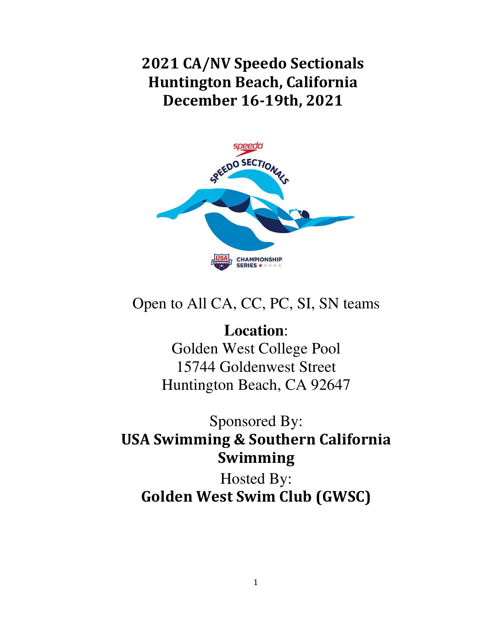2021 CA/NV Speedo Sectionals Huntington Beach, California December 16-19th, 2021



# Open to All CA, CC, PC, SI, SN teams

**Location**: Golden West College Pool 15744 Goldenwest Street Huntington Beach, CA 92647

# Sponsored By: USA Swimming & Southern California Swimming

Hosted By: Golden West Swim Club (GWSC)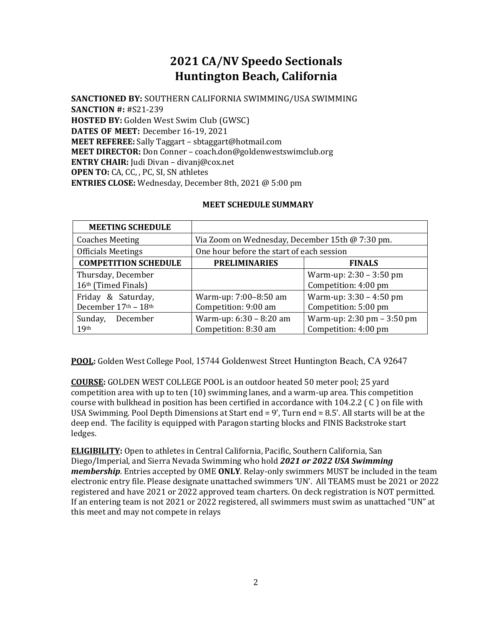# 2021 CA/NV Speedo Sectionals Huntington Beach, California

SANCTIONED BY: SOUTHERN CALIFORNIA SWIMMING/USA SWIMMING SANCTION #: #S21-239 HOSTED BY: Golden West Swim Club (GWSC) DATES OF MEET: December 16-19, 2021 MEET REFEREE: Sally Taggart – sbtaggart@hotmail.com MEET DIRECTOR: Don Conner – coach.don@goldenwestswimclub.org ENTRY CHAIR: Judi Divan – divanj@cox.net OPEN TO: CA, CC, , PC, SI, SN athletes ENTRIES CLOSE: Wednesday, December 8th, 2021 @ 5:00 pm

#### MEET SCHEDULE SUMMARY

| <b>MEETING SCHEDULE</b>     |                                                 |                            |  |  |
|-----------------------------|-------------------------------------------------|----------------------------|--|--|
| <b>Coaches Meeting</b>      | Via Zoom on Wednesday, December 15th @ 7:30 pm. |                            |  |  |
| <b>Officials Meetings</b>   | One hour before the start of each session       |                            |  |  |
| <b>COMPETITION SCHEDULE</b> | <b>PRELIMINARIES</b><br><b>FINALS</b>           |                            |  |  |
| Thursday, December          |                                                 | Warm-up: $2:30 - 3:50$ pm  |  |  |
| 16th (Timed Finals)         |                                                 | Competition: 4:00 pm       |  |  |
| Friday & Saturday,          | Warm-up: 7:00-8:50 am                           | Warm-up: $3:30 - 4:50$ pm  |  |  |
| December 17th - 18th        | Competition: 9:00 am                            | Competition: 5:00 pm       |  |  |
| December<br>Sunday,         | Warm-up: 6:30 - 8:20 am                         | Warm-up: 2:30 pm - 3:50 pm |  |  |
| 19 <sup>th</sup>            | Competition: 8:30 am                            | Competition: 4:00 pm       |  |  |

POOL: Golden West College Pool, 15744 Goldenwest Street Huntington Beach, CA 92647

COURSE: GOLDEN WEST COLLEGE POOL is an outdoor heated 50 meter pool; 25 yard competition area with up to ten (10) swimming lanes, and a warm-up area. This competition course with bulkhead in position has been certified in accordance with 104.2.2 ( C ) on file with USA Swimming. Pool Depth Dimensions at Start end = 9', Turn end = 8.5'. All starts will be at the deep end. The facility is equipped with Paragon starting blocks and FINIS Backstroke start ledges.

**ELIGIBILITY:** Open to athletes in Central California, Pacific, Southern California, San Diego/Imperial, and Sierra Nevada Swimming who hold 2021 or 2022 USA Swimming membership. Entries accepted by OME ONLY. Relay-only swimmers MUST be included in the team electronic entry file. Please designate unattached swimmers 'UN'. All TEAMS must be 2021 or 2022 registered and have 2021 or 2022 approved team charters. On deck registration is NOT permitted. If an entering team is not 2021 or 2022 registered, all swimmers must swim as unattached "UN" at this meet and may not compete in relays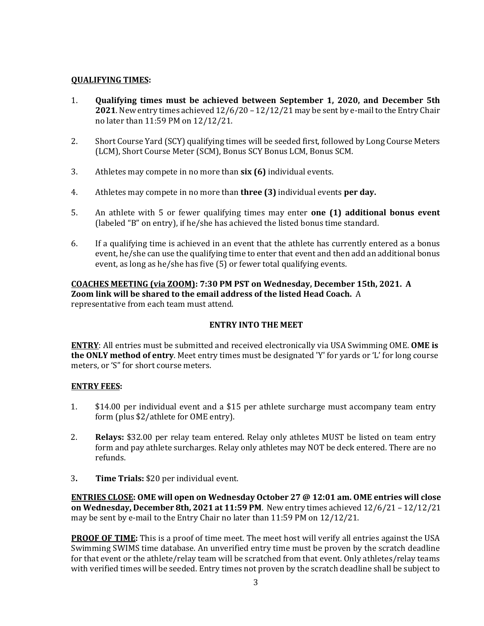#### QUALIFYING TIMES:

- 1. Qualifying times must be achieved between September 1, 2020, and December 5th 2021. New entry times achieved 12/6/20 – 12/12/21 may be sent by e-mail to the Entry Chair no later than 11:59 PM on 12/12/21.
- 2. Short Course Yard (SCY) qualifying times will be seeded first, followed by Long Course Meters (LCM), Short Course Meter (SCM), Bonus SCY Bonus LCM, Bonus SCM.
- 3. Athletes may compete in no more than six (6) individual events.
- 4. Athletes may compete in no more than three (3) individual events per day.
- 5. An athlete with 5 or fewer qualifying times may enter one (1) additional bonus event (labeled "B" on entry), if he/she has achieved the listed bonus time standard.
- 6. If a qualifying time is achieved in an event that the athlete has currently entered as a bonus event, he/she can use the qualifying time to enter that event and then add an additional bonus event, as long as he/she has five (5) or fewer total qualifying events.

#### COACHES MEETING (via ZOOM): 7:30 PM PST on Wednesday, December 15th, 2021. A Zoom link will be shared to the email address of the listed Head Coach. A representative from each team must attend.

#### ENTRY INTO THE MEET

**ENTRY:** All entries must be submitted and received electronically via USA Swimming OME. OME is the ONLY method of entry. Meet entry times must be designated 'Y' for yards or 'L' for long course meters, or 'S" for short course meters.

#### ENTRY FEES:

- 1. \$14.00 per individual event and a \$15 per athlete surcharge must accompany team entry form (plus \$2/athlete for OME entry).
- 2. Relays: \$32.00 per relay team entered. Relay only athletes MUST be listed on team entry form and pay athlete surcharges. Relay only athletes may NOT be deck entered. There are no refunds.
- 3. Time Trials: \$20 per individual event.

ENTRIES CLOSE: OME will open on Wednesday October 27 @ 12:01 am. OME entries will close on Wednesday, December 8th, 2021 at 11:59 PM. New entry times achieved 12/6/21 – 12/12/21 may be sent by e-mail to the Entry Chair no later than 11:59 PM on 12/12/21.

**PROOF OF TIME:** This is a proof of time meet. The meet host will verify all entries against the USA Swimming SWIMS time database. An unverified entry time must be proven by the scratch deadline for that event or the athlete/relay team will be scratched from that event. Only athletes/relay teams with verified times will be seeded. Entry times not proven by the scratch deadline shall be subject to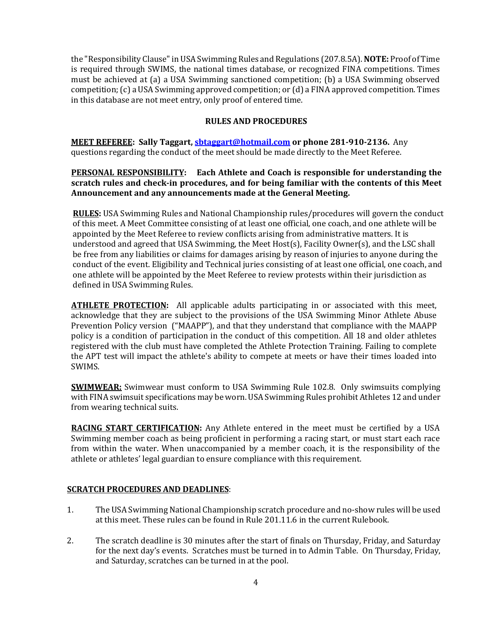the "Responsibility Clause" in USA Swimming Rules and Regulations (207.8.5A). NOTE: Proof of Time is required through SWIMS, the national times database, or recognized FINA competitions. Times must be achieved at (a) a USA Swimming sanctioned competition; (b) a USA Swimming observed competition; (c) a USA Swimming approved competition; or (d) a FINA approved competition. Times in this database are not meet entry, only proof of entered time.

#### RULES AND PROCEDURES

MEET REFEREE: Sally Taggart, sbtaggart@hotmail.com or phone 281-910-2136. Any questions regarding the conduct of the meet should be made directly to the Meet Referee.

#### PERSONAL RESPONSIBILITY: Each Athlete and Coach is responsible for understanding the scratch rules and check-in procedures, and for being familiar with the contents of this Meet Announcement and any announcements made at the General Meeting.

RULES: USA Swimming Rules and National Championship rules/procedures will govern the conduct of this meet. A Meet Committee consisting of at least one official, one coach, and one athlete will be appointed by the Meet Referee to review conflicts arising from administrative matters. It is understood and agreed that USA Swimming, the Meet Host(s), Facility Owner(s), and the LSC shall be free from any liabilities or claims for damages arising by reason of injuries to anyone during the conduct of the event. Eligibility and Technical juries consisting of at least one official, one coach, and one athlete will be appointed by the Meet Referee to review protests within their jurisdiction as defined in USA Swimming Rules.

**ATHLETE PROTECTION:** All applicable adults participating in or associated with this meet, acknowledge that they are subject to the provisions of the USA Swimming Minor Athlete Abuse Prevention Policy version ("MAAPP"), and that they understand that compliance with the MAAPP policy is a condition of participation in the conduct of this competition. All 18 and older athletes registered with the club must have completed the Athlete Protection Training. Failing to complete the APT test will impact the athlete's ability to compete at meets or have their times loaded into SWIMS.

**SWIMWEAR:** Swimwear must conform to USA Swimming Rule 102.8. Only swimsuits complying with FINA swimsuit specifications may be worn. USA Swimming Rules prohibit Athletes 12 and under from wearing technical suits.

**RACING START CERTIFICATION:** Any Athlete entered in the meet must be certified by a USA Swimming member coach as being proficient in performing a racing start, or must start each race from within the water. When unaccompanied by a member coach, it is the responsibility of the athlete or athletes' legal guardian to ensure compliance with this requirement.

#### SCRATCH PROCEDURES AND DEADLINES:

- 1. The USA Swimming National Championship scratch procedure and no-show rules will be used at this meet. These rules can be found in Rule 201.11.6 in the current Rulebook.
- 2. The scratch deadline is 30 minutes after the start of finals on Thursday, Friday, and Saturday for the next day's events. Scratches must be turned in to Admin Table. On Thursday, Friday, and Saturday, scratches can be turned in at the pool.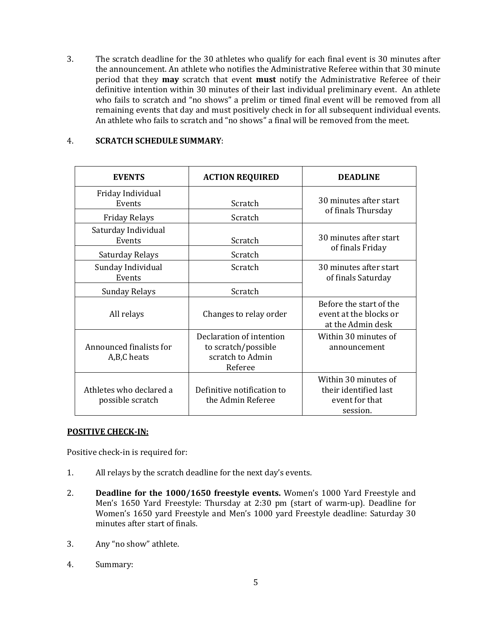3. The scratch deadline for the 30 athletes who qualify for each final event is 30 minutes after the announcement. An athlete who notifies the Administrative Referee within that 30 minute period that they may scratch that event must notify the Administrative Referee of their definitive intention within 30 minutes of their last individual preliminary event. An athlete who fails to scratch and "no shows" a prelim or timed final event will be removed from all remaining events that day and must positively check in for all subsequent individual events. An athlete who fails to scratch and "no shows" a final will be removed from the meet.

#### 4. SCRATCH SCHEDULE SUMMARY:

| <b>EVENTS</b>                               | <b>ACTION REQUIRED</b>                                                         | <b>DEADLINE</b>                                                             |
|---------------------------------------------|--------------------------------------------------------------------------------|-----------------------------------------------------------------------------|
| Friday Individual<br>Events                 | Scratch                                                                        | 30 minutes after start                                                      |
| <b>Friday Relays</b>                        | Scratch                                                                        | of finals Thursday                                                          |
| Saturday Individual<br>Events               | Scratch                                                                        | 30 minutes after start                                                      |
| Saturday Relays                             | Scratch                                                                        | of finals Friday                                                            |
| Sunday Individual<br>Events                 | Scratch                                                                        | 30 minutes after start<br>of finals Saturday                                |
| <b>Sunday Relays</b>                        | Scratch                                                                        |                                                                             |
| All relays                                  | Changes to relay order                                                         | Before the start of the<br>event at the blocks or<br>at the Admin desk      |
| Announced finalists for<br>A,B,C heats      | Declaration of intention<br>to scratch/possible<br>scratch to Admin<br>Referee | Within 30 minutes of<br>announcement                                        |
| Athletes who declared a<br>possible scratch | Definitive notification to<br>the Admin Referee                                | Within 30 minutes of<br>their identified last<br>event for that<br>session. |

#### POSITIVE CHECK-IN:

Positive check-in is required for:

- 1. All relays by the scratch deadline for the next day's events.
- 2. Deadline for the 1000/1650 freestyle events. Women's 1000 Yard Freestyle and Men's 1650 Yard Freestyle: Thursday at 2:30 pm (start of warm-up). Deadline for Women's 1650 yard Freestyle and Men's 1000 yard Freestyle deadline: Saturday 30 minutes after start of finals.
- 3. Any "no show" athlete.
- 4. Summary: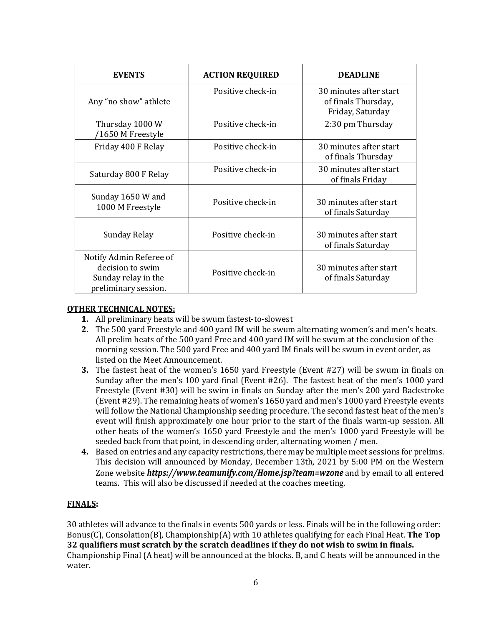| <b>EVENTS</b>                                                                              | <b>ACTION REQUIRED</b> | <b>DEADLINE</b>                                                   |
|--------------------------------------------------------------------------------------------|------------------------|-------------------------------------------------------------------|
| Any "no show" athlete                                                                      | Positive check-in      | 30 minutes after start<br>of finals Thursday,<br>Friday, Saturday |
| Thursday 1000 W<br>/1650 M Freestyle                                                       | Positive check-in      | 2:30 pm Thursday                                                  |
| Friday 400 F Relay                                                                         | Positive check-in      | 30 minutes after start<br>of finals Thursday                      |
| Saturday 800 F Relay                                                                       | Positive check-in      | 30 minutes after start<br>of finals Friday                        |
| Sunday 1650 W and<br>1000 M Freestyle                                                      | Positive check-in      | 30 minutes after start<br>of finals Saturday                      |
| Sunday Relay                                                                               | Positive check-in      | 30 minutes after start<br>of finals Saturday                      |
| Notify Admin Referee of<br>decision to swim<br>Sunday relay in the<br>preliminary session. | Positive check-in      | 30 minutes after start<br>of finals Saturday                      |

#### OTHER TECHNICAL NOTES:

- 1. All preliminary heats will be swum fastest-to-slowest
- 2. The 500 yard Freestyle and 400 yard IM will be swum alternating women's and men's heats. All prelim heats of the 500 yard Free and 400 yard IM will be swum at the conclusion of the morning session. The 500 yard Free and 400 yard IM finals will be swum in event order, as listed on the Meet Announcement.
- 3. The fastest heat of the women's 1650 yard Freestyle (Event #27) will be swum in finals on Sunday after the men's 100 yard final (Event #26). The fastest heat of the men's 1000 yard Freestyle (Event #30) will be swim in finals on Sunday after the men's 200 yard Backstroke (Event #29). The remaining heats of women's 1650 yard and men's 1000 yard Freestyle events will follow the National Championship seeding procedure. The second fastest heat of the men's event will finish approximately one hour prior to the start of the finals warm-up session. All other heats of the women's 1650 yard Freestyle and the men's 1000 yard Freestyle will be seeded back from that point, in descending order, alternating women / men.
- 4. Based on entries and any capacity restrictions, there may be multiple meet sessions for prelims. This decision will announced by Monday, December 13th, 2021 by 5:00 PM on the Western Zone website https://www.teamunify.com/Home.jsp?team=wzone and by email to all entered teams. This will also be discussed if needed at the coaches meeting.

## FINALS:

30 athletes will advance to the finals in events 500 yards or less. Finals will be in the following order: Bonus(C), Consolation(B), Championship(A) with 10 athletes qualifying for each Final Heat. The Top 32 qualifiers must scratch by the scratch deadlines if they do not wish to swim in finals. Championship Final (A heat) will be announced at the blocks. B, and C heats will be announced in the water.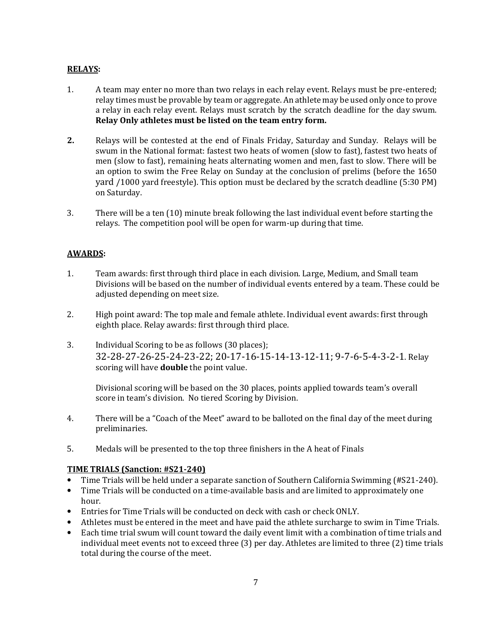#### RELAYS:

- 1. A team may enter no more than two relays in each relay event. Relays must be pre-entered; relay times must be provable by team or aggregate. An athlete may be used only once to prove a relay in each relay event. Relays must scratch by the scratch deadline for the day swum. Relay Only athletes must be listed on the team entry form.
- 2. Relays will be contested at the end of Finals Friday, Saturday and Sunday. Relays will be swum in the National format: fastest two heats of women (slow to fast), fastest two heats of men (slow to fast), remaining heats alternating women and men, fast to slow. There will be an option to swim the Free Relay on Sunday at the conclusion of prelims (before the 1650 yard /1000 yard freestyle). This option must be declared by the scratch deadline (5:30 PM) on Saturday.
- 3. There will be a ten (10) minute break following the last individual event before starting the relays. The competition pool will be open for warm-up during that time.

#### AWARDS:

- 1. Team awards: first through third place in each division. Large, Medium, and Small team Divisions will be based on the number of individual events entered by a team. These could be adjusted depending on meet size.
- 2. High point award: The top male and female athlete. Individual event awards: first through eighth place. Relay awards: first through third place.
- 3. Individual Scoring to be as follows (30 places); 32-28-27-26-25-24-23-22; 20-17-16-15-14-13-12-11; 9-7-6-5-4-3-2-1. Relay scoring will have **double** the point value.

Divisional scoring will be based on the 30 places, points applied towards team's overall score in team's division. No tiered Scoring by Division.

- 4. There will be a "Coach of the Meet" award to be balloted on the final day of the meet during preliminaries.
- 5. Medals will be presented to the top three finishers in the A heat of Finals

#### TIME TRIALS (Sanction: #S21-240)

- Time Trials will be held under a separate sanction of Southern California Swimming (#S21-240).
- Time Trials will be conducted on a time-available basis and are limited to approximately one hour.
- Entries for Time Trials will be conducted on deck with cash or check ONLY.
- Athletes must be entered in the meet and have paid the athlete surcharge to swim in Time Trials.
- Each time trial swum will count toward the daily event limit with a combination of time trials and individual meet events not to exceed three (3) per day. Athletes are limited to three (2) time trials total during the course of the meet.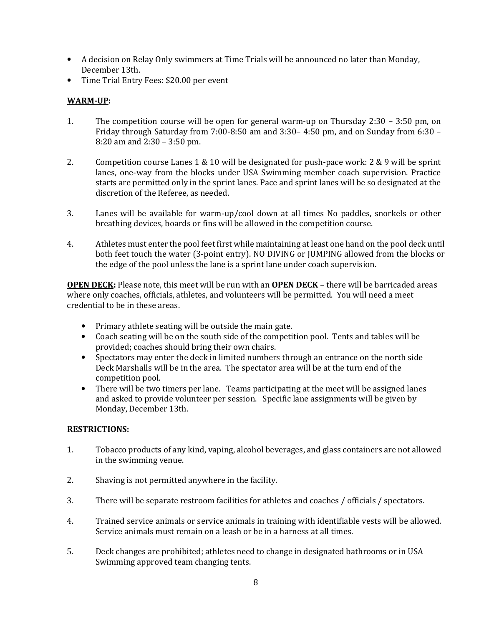- A decision on Relay Only swimmers at Time Trials will be announced no later than Monday, December 13th.
- Time Trial Entry Fees: \$20.00 per event

## WARM-UP:

- 1. The competition course will be open for general warm-up on Thursday 2:30 3:50 pm, on Friday through Saturday from 7:00-8:50 am and 3:30– 4:50 pm, and on Sunday from 6:30 – 8:20 am and 2:30 – 3:50 pm.
- 2. Competition course Lanes 1 & 10 will be designated for push-pace work: 2 & 9 will be sprint lanes, one-way from the blocks under USA Swimming member coach supervision. Practice starts are permitted only in the sprint lanes. Pace and sprint lanes will be so designated at the discretion of the Referee, as needed.
- 3. Lanes will be available for warm-up/cool down at all times No paddles, snorkels or other breathing devices, boards or fins will be allowed in the competition course.
- 4. Athletes must enter the pool feet first while maintaining at least one hand on the pool deck until both feet touch the water (3-point entry). NO DIVING or JUMPING allowed from the blocks or the edge of the pool unless the lane is a sprint lane under coach supervision.

OPEN DECK: Please note, this meet will be run with an OPEN DECK – there will be barricaded areas where only coaches, officials, athletes, and volunteers will be permitted. You will need a meet credential to be in these areas.

- Primary athlete seating will be outside the main gate.
- Coach seating will be on the south side of the competition pool. Tents and tables will be provided; coaches should bring their own chairs.
- Spectators may enter the deck in limited numbers through an entrance on the north side Deck Marshalls will be in the area. The spectator area will be at the turn end of the competition pool.
- There will be two timers per lane. Teams participating at the meet will be assigned lanes and asked to provide volunteer per session. Specific lane assignments will be given by Monday, December 13th.

#### RESTRICTIONS:

- 1. Tobacco products of any kind, vaping, alcohol beverages, and glass containers are not allowed in the swimming venue.
- 2. Shaving is not permitted anywhere in the facility.
- 3. There will be separate restroom facilities for athletes and coaches / officials / spectators.
- 4. Trained service animals or service animals in training with identifiable vests will be allowed. Service animals must remain on a leash or be in a harness at all times.
- 5. Deck changes are prohibited; athletes need to change in designated bathrooms or in USA Swimming approved team changing tents.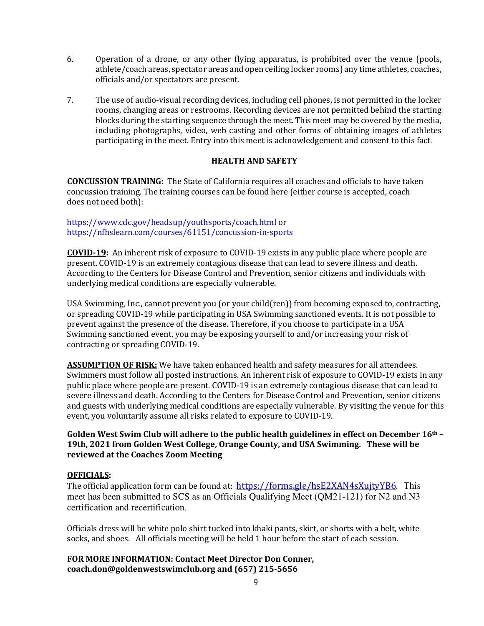- 6. Operation of a drone, or any other flying apparatus, is prohibited over the venue (pools, athlete/coach areas, spectator areas and open ceiling locker rooms) any time athletes, coaches, officials and/or spectators are present.
- 7. The use of audio-visual recording devices, including cell phones, is not permitted in the locker rooms, changing areas or restrooms. Recording devices are not permitted behind the starting blocks during the starting sequence through the meet. This meet may be covered by the media, including photographs, video, web casting and other forms of obtaining images of athletes participating in the meet. Entry into this meet is acknowledgement and consent to this fact.

#### HEALTH AND SAFETY

CONCUSSION TRAINING: The State of California requires all coaches and officials to have taken concussion training. The training courses can be found here (either course is accepted, coach does not need both):

#### https://www.cdc.gov/headsup/youthsports/coach.html or https://nfhslearn.com/courses/61151/concussion-in-sports

COVID-19: An inherent risk of exposure to COVID-19 exists in any public place where people are present. COVID-19 is an extremely contagious disease that can lead to severe illness and death. According to the Centers for Disease Control and Prevention, senior citizens and individuals with underlying medical conditions are especially vulnerable.

USA Swimming, Inc., cannot prevent you (or your child(ren)) from becoming exposed to, contracting, or spreading COVID-19 while participating in USA Swimming sanctioned events. It is not possible to prevent against the presence of the disease. Therefore, if you choose to participate in a USA Swimming sanctioned event, you may be exposing yourself to and/or increasing your risk of contracting or spreading COVID-19.

**ASSUMPTION OF RISK:** We have taken enhanced health and safety measures for all attendees. Swimmers must follow all posted instructions. An inherent risk of exposure to COVID-19 exists in any public place where people are present. COVID-19 is an extremely contagious disease that can lead to severe illness and death. According to the Centers for Disease Control and Prevention, senior citizens and guests with underlying medical conditions are especially vulnerable. By visiting the venue for this event, you voluntarily assume all risks related to exposure to COVID-19.

#### Golden West Swim Club will adhere to the public health guidelines in effect on December  $16<sup>th</sup>$  -19th, 2021 from Golden West College, Orange County, and USA Swimming. These will be reviewed at the Coaches Zoom Meeting

#### OFFICIALS:

The official application form can be found at: https://forms.gle/hsE2XAN4sXujtyYB6. This meet has been submitted to SCS as an Officials Qualifying Meet (QM21-121) for N2 and N3 certification and recertification.

Officials dress will be white polo shirt tucked into khaki pants, skirt, or shorts with a belt, white socks, and shoes. All officials meeting will be held 1 hour before the start of each session.

FOR MORE INFORMATION: Contact Meet Director Don Conner, coach.don@goldenwestswimclub.org and (657) 215-5656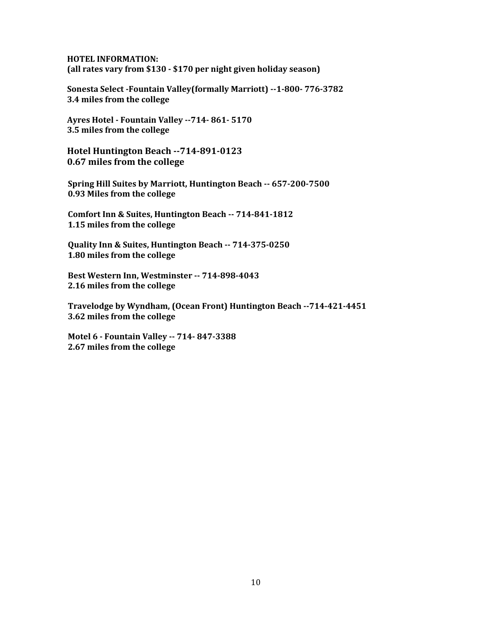HOTEL INFORMATION: (all rates vary from \$130 - \$170 per night given holiday season)

Sonesta Select -Fountain Valley(formally Marriott) --1-800- 776-3782 3.4 miles from the college

Ayres Hotel - Fountain Valley --714- 861- 5170 3.5 miles from the college

Hotel Huntington Beach --714-891-0123 0.67 miles from the college

Spring Hill Suites by Marriott, Huntington Beach -- 657-200-7500 0.93 Miles from the college

Comfort Inn & Suites, Huntington Beach -- 714-841-1812 1.15 miles from the college

Quality Inn & Suites, Huntington Beach -- 714-375-0250 1.80 miles from the college

Best Western Inn, Westminster -- 714-898-4043 2.16 miles from the college

Travelodge by Wyndham, (Ocean Front) Huntington Beach --714-421-4451 3.62 miles from the college

Motel 6 - Fountain Valley -- 714- 847-3388 2.67 miles from the college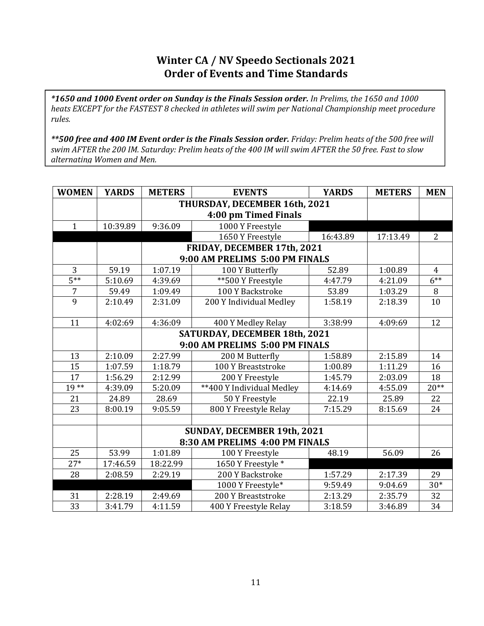# Winter CA / NV Speedo Sectionals 2021 Order of Events and Time Standards

\*1650 and 1000 Event order on Sunday is the Finals Session order. In Prelims, the 1650 and 1000 heats EXCEPT for the FASTEST 8 checked in athletes will swim per National Championship meet procedure rules.

\*\*500 free and 400 IM Event order is the Finals Session order. Friday: Prelim heats of the 500 free will swim AFTER the 200 IM. Saturday: Prelim heats of the 400 IM will swim AFTER the 50 free. Fast to slow alternating Women and Men.

| <b>WOMEN</b>    | <b>YARDS</b>         | <b>METERS</b> | <b>EVENTS</b>                  | <b>YARDS</b> | <b>METERS</b> | <b>MEN</b>      |
|-----------------|----------------------|---------------|--------------------------------|--------------|---------------|-----------------|
|                 |                      |               | THURSDAY, DECEMBER 16th, 2021  |              |               |                 |
|                 | 4:00 pm Timed Finals |               |                                |              |               |                 |
| $\mathbf{1}$    | 10:39.89             | 9:36.09       | 1000 Y Freestyle               |              |               |                 |
|                 |                      |               | 1650 Y Freestyle               | 16:43.89     | 17:13.49      | $\overline{2}$  |
|                 |                      |               | FRIDAY, DECEMBER 17th, 2021    |              |               |                 |
|                 |                      |               | 9:00 AM PRELIMS 5:00 PM FINALS |              |               |                 |
| 3               | 59.19                | 1:07.19       | 100 Y Butterfly                | 52.89        | 1:00.89       | $\overline{4}$  |
| $5***$          | 5:10.69              | 4:39.69       | ** 500 Y Freestyle             | 4:47.79      | 4:21.09       | $6***$          |
| $\overline{7}$  | 59.49                | 1:09.49       | 100 Y Backstroke               | 53.89        | 1:03.29       | 8               |
| 9               | 2:10.49              | 2:31.09       | 200 Y Individual Medley        | 1:58.19      | 2:18.39       | 10              |
|                 |                      |               |                                |              |               |                 |
| 11              | 4:02:69              | 4:36:09       | 400 Y Medley Relay             | 3:38:99      | 4:09:69       | 12              |
|                 |                      |               | SATURDAY, DECEMBER 18th, 2021  |              |               |                 |
|                 |                      |               | 9:00 AM PRELIMS 5:00 PM FINALS |              |               |                 |
| 13              | 2:10.09              | 2:27.99       | 200 M Butterfly                | 1:58.89      | 2:15.89       | 14              |
| 15              | 1:07.59              | 1:18.79       | 100 Y Breaststroke             | 1:00.89      | 1:11.29       | 16              |
| 17              | 1:56.29              | 2:12.99       | 200 Y Freestyle                | 1:45.79      | 2:03.09       | 18              |
| $19**$          | 4:39.09              | 5:20.09       | ** 400 Y Individual Medley     | 4:14.69      | 4:55.09       | $20**$          |
| 21              | 24.89                | 28.69         | 50 Y Freestyle                 | 22.19        | 25.89         | 22              |
| 23              | 8:00.19              | 9:05.59       | 800 Y Freestyle Relay          | 7:15.29      | 8:15.69       | 24              |
|                 |                      |               |                                |              |               |                 |
|                 |                      |               | SUNDAY, DECEMBER 19th, 2021    |              |               |                 |
|                 |                      |               | 8:30 AM PRELIMS 4:00 PM FINALS |              |               |                 |
| 25              | 53.99                | 1:01.89       | 100 Y Freestyle                | 48.19        | 56.09         | 26              |
| $27*$           | 17:46.59             | 18:22.99      | 1650 Y Freestyle *             |              |               |                 |
| 28              | 2:08.59              | 2:29.19       | 200 Y Backstroke               | 1:57.29      | 2:17.39       | 29              |
|                 |                      |               | 1000 Y Freestyle*              | 9:59.49      | 9:04.69       | $30*$           |
| 31              | 2:28.19              | 2:49.69       | 200 Y Breaststroke             | 2:13.29      | 2:35.79       | 32              |
| $\overline{33}$ | 3:41.79              | 4:11.59       | 400 Y Freestyle Relay          | 3:18.59      | 3:46.89       | $\overline{34}$ |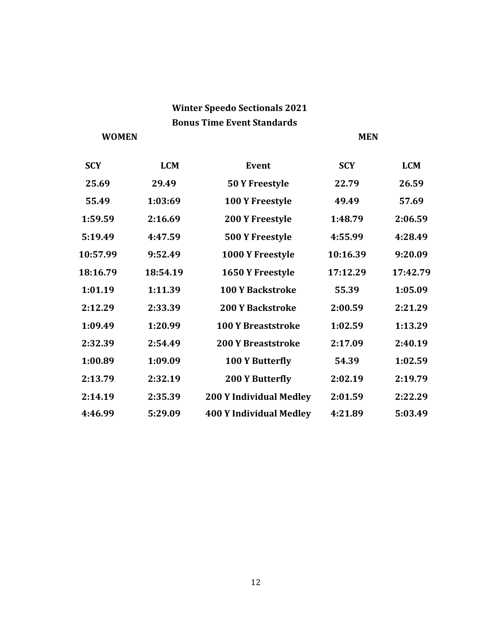# Winter Speedo Sectionals 2021 Bonus Time Event Standards

# WOMEN MEN

| <b>SCY</b> | <b>LCM</b> | <b>Event</b>                   | <b>SCY</b> | <b>LCM</b> |
|------------|------------|--------------------------------|------------|------------|
| 25.69      | 29.49      | 50 Y Freestyle                 | 22.79      | 26.59      |
| 55.49      | 1:03:69    | 100 Y Freestyle                | 49.49      | 57.69      |
| 1:59.59    | 2:16.69    | <b>200 Y Freestyle</b>         | 1:48.79    | 2:06.59    |
| 5:19.49    | 4:47.59    | 500 Y Freestyle                | 4:55.99    | 4:28.49    |
| 10:57.99   | 9:52.49    | 1000 Y Freestyle               | 10:16.39   | 9:20.09    |
| 18:16.79   | 18:54.19   | 1650 Y Freestyle               | 17:12.29   | 17:42.79   |
| 1:01.19    | 1:11.39    | <b>100 Y Backstroke</b>        | 55.39      | 1:05.09    |
| 2:12.29    | 2:33.39    | <b>200 Y Backstroke</b>        | 2:00.59    | 2:21.29    |
| 1:09.49    | 1:20.99    | <b>100 Y Breaststroke</b>      | 1:02.59    | 1:13.29    |
| 2:32.39    | 2:54.49    | <b>200 Y Breaststroke</b>      | 2:17.09    | 2:40.19    |
| 1:00.89    | 1:09.09    | 100 Y Butterfly                | 54.39      | 1:02.59    |
| 2:13.79    | 2:32.19    | <b>200 Y Butterfly</b>         | 2:02.19    | 2:19.79    |
| 2:14.19    | 2:35.39    | <b>200 Y Individual Medley</b> | 2:01.59    | 2:22.29    |
| 4:46.99    | 5:29.09    | <b>400 Y Individual Medley</b> | 4:21.89    | 5:03.49    |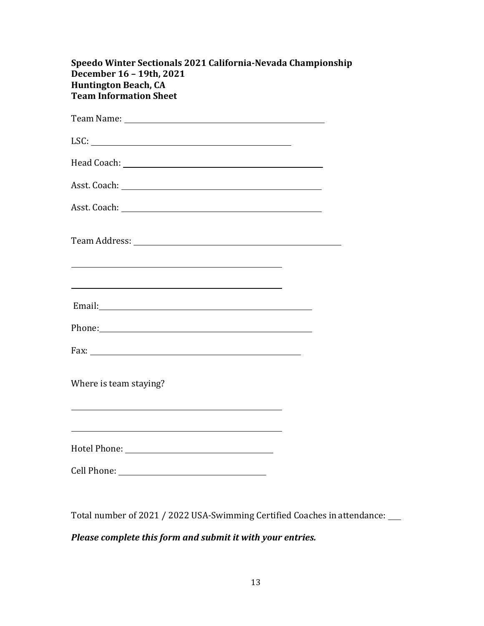| Speedo Winter Sectionals 2021 California-Nevada Championship<br>December 16 - 19th, 2021<br><b>Huntington Beach, CA</b><br><b>Team Information Sheet</b>                                                                       |  |
|--------------------------------------------------------------------------------------------------------------------------------------------------------------------------------------------------------------------------------|--|
|                                                                                                                                                                                                                                |  |
|                                                                                                                                                                                                                                |  |
|                                                                                                                                                                                                                                |  |
|                                                                                                                                                                                                                                |  |
|                                                                                                                                                                                                                                |  |
|                                                                                                                                                                                                                                |  |
| <u> 1999 - Johann John Stein, marwolaethau (b. 1989)</u><br><u> 1999 - Johann Stoff, deutscher Stoffen und der Stoffen und der Stoffen und der Stoffen und der Stoffen und der</u>                                             |  |
|                                                                                                                                                                                                                                |  |
| Phone: Phone Phone Phone Phone Phone Phone Phone Phone Phone Phone Phone Phone Phone Phone Phone Phone Phone Phone Phone Phone Phone Phone Phone Phone Phone Phone Phone Phone Phone Phone Phone Phone Phone Phone Phone Phone |  |
|                                                                                                                                                                                                                                |  |
| Where is team staying?                                                                                                                                                                                                         |  |
|                                                                                                                                                                                                                                |  |
| Cell Phone:                                                                                                                                                                                                                    |  |

Total number of 2021 / 2022 USA-Swimming Certified Coaches in attendance:

Please complete this form and submit it with your entries.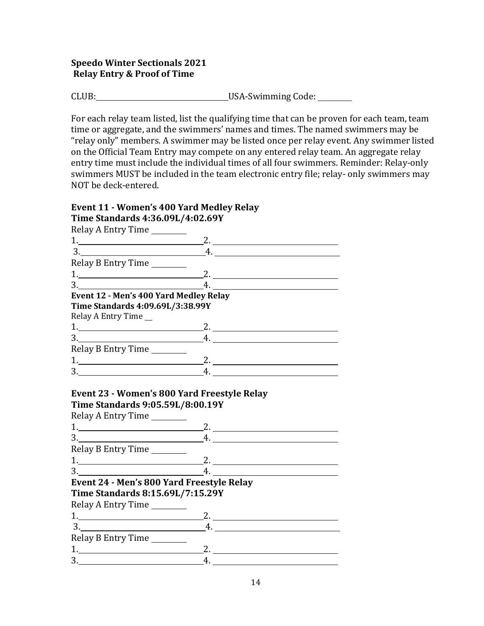## Speedo Winter Sectionals 2021 Relay Entry & Proof of Time

CLUB:\_\_\_\_\_\_\_\_\_\_\_\_\_\_\_\_\_\_\_\_\_\_\_\_\_\_\_\_\_\_\_\_\_\_USA-Swimming Code: \_\_\_\_\_\_\_\_

For each relay team listed, list the qualifying time that can be proven for each team, team time or aggregate, and the swimmers' names and times. The named swimmers may be "relay only" members. A swimmer may be listed once per relay event. Any swimmer listed on the Official Team Entry may compete on any entered relay team. An aggregate relay entry time must include the individual times of all four swimmers. Reminder: Relay-only swimmers MUST be included in the team electronic entry file; relay- only swimmers may NOT be deck-entered.

# Event 11 - Women's 400 Yard Medley Relay

| Time Standards 4:36.09L/4:02.69Y                                                                               |                                                                |  |
|----------------------------------------------------------------------------------------------------------------|----------------------------------------------------------------|--|
| Relay A Entry Time                                                                                             |                                                                |  |
| $1.$ 2.                                                                                                        |                                                                |  |
| $3.$ 4.                                                                                                        |                                                                |  |
| Relay B Entry Time                                                                                             |                                                                |  |
| $1.$ 2.                                                                                                        |                                                                |  |
| $\frac{3}{2}$                                                                                                  | $\overline{A}$ .                                               |  |
| Event 12 - Men's 400 Yard Medley Relay                                                                         |                                                                |  |
| Time Standards 4:09.69L/3:38.99Y                                                                               |                                                                |  |
| Relay A Entry Time __                                                                                          |                                                                |  |
| $1.$ 2.                                                                                                        |                                                                |  |
| $3.$ 4.                                                                                                        |                                                                |  |
| Relay B Entry Time                                                                                             |                                                                |  |
| $1.$ 2.                                                                                                        |                                                                |  |
| $\frac{3}{2}$                                                                                                  | 4.                                                             |  |
| Event 23 - Women's 800 Yard Freestyle Relay<br>Time Standards 9:05.59L/8:00.19Y<br>Relay A Entry Time ________ |                                                                |  |
|                                                                                                                |                                                                |  |
| $3.$ 4.                                                                                                        |                                                                |  |
| Relay B Entry Time                                                                                             |                                                                |  |
| $1.$ 2.                                                                                                        |                                                                |  |
| 3.                                                                                                             | $\underbrace{\hspace{2.5cm}}$ 4. $\underbrace{\hspace{2.5cm}}$ |  |
| Event 24 - Men's 800 Yard Freestyle Relay                                                                      |                                                                |  |
| Time Standards 8:15.69L/7:15.29Y                                                                               |                                                                |  |
| Relay A Entry Time                                                                                             |                                                                |  |
|                                                                                                                |                                                                |  |
| $\begin{array}{c}\n3.\n\end{array}$                                                                            | $-4.$                                                          |  |
| Relay B Entry Time                                                                                             |                                                                |  |
| $1.$ 2.                                                                                                        |                                                                |  |

3. 4.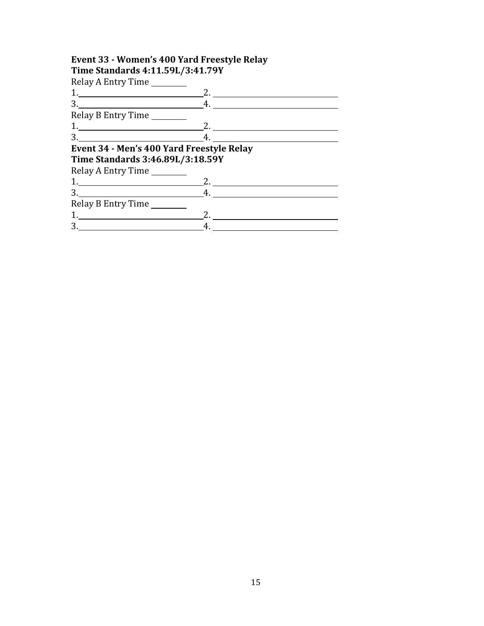## Event 33 - Women's 400 Yard Freestyle Relay Time Standards 4:11.59L/3:41.79Y

Relay A Entry Time

| $R = 1$                                                                                                                                                                                                                                                                                                                |    |
|------------------------------------------------------------------------------------------------------------------------------------------------------------------------------------------------------------------------------------------------------------------------------------------------------------------------|----|
|                                                                                                                                                                                                                                                                                                                        |    |
| $3.$ 4.                                                                                                                                                                                                                                                                                                                |    |
| Relay B Entry Time                                                                                                                                                                                                                                                                                                     |    |
| $1.$ 2.                                                                                                                                                                                                                                                                                                                |    |
| $3.$ 4.                                                                                                                                                                                                                                                                                                                |    |
| Event 34 - Men's 400 Yard Freestyle Relay                                                                                                                                                                                                                                                                              |    |
| Time Standards 3:46.89L/3:18.59Y                                                                                                                                                                                                                                                                                       |    |
| Relay A Entry Time                                                                                                                                                                                                                                                                                                     |    |
| $1.$ 2.                                                                                                                                                                                                                                                                                                                |    |
| $3.$ 4.                                                                                                                                                                                                                                                                                                                |    |
| Relay B Entry Time                                                                                                                                                                                                                                                                                                     |    |
| 1. $\frac{1}{2}$ $\frac{1}{2}$ $\frac{1}{2}$ $\frac{1}{2}$ $\frac{1}{2}$ $\frac{1}{2}$ $\frac{1}{2}$ $\frac{1}{2}$ $\frac{1}{2}$ $\frac{1}{2}$ $\frac{1}{2}$ $\frac{1}{2}$ $\frac{1}{2}$ $\frac{1}{2}$ $\frac{1}{2}$ $\frac{1}{2}$ $\frac{1}{2}$ $\frac{1}{2}$ $\frac{1}{2}$ $\frac{1}{2}$ $\frac{1}{2}$ $\frac{1}{2}$ | 2. |
|                                                                                                                                                                                                                                                                                                                        |    |
|                                                                                                                                                                                                                                                                                                                        |    |